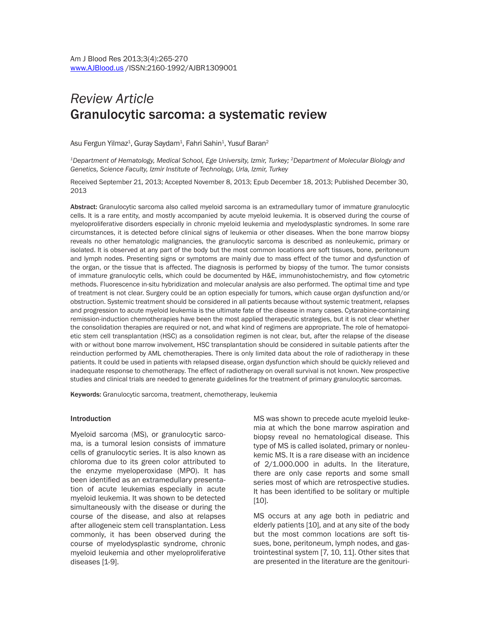# *Review Article* Granulocytic sarcoma: a systematic review

Asu Fergun Yilmaz $^{\rm 1}$ , Guray Saydam $^{\rm 1}$ , Fahri Sahin $^{\rm 1}$ , Yusuf Baran $^{\rm 2}$ 

*1Department of Hematology, Medical School, Ege University, Izmir, Turkey; 2Department of Molecular Biology and Genetics, Science Faculty, Izmir Institute of Technology, Urla, Izmir, Turkey*

Received September 21, 2013; Accepted November 8, 2013; Epub December 18, 2013; Published December 30, 2013

Abstract: Granulocytic sarcoma also called myeloid sarcoma is an extramedullary tumor of immature granulocytic cells. It is a rare entity, and mostly accompanied by acute myeloid leukemia. It is observed during the course of myeloproliferative disorders especially in chronic myeloid leukemia and myelodysplastic syndromes. In some rare circumstances, it is detected before clinical signs of leukemia or other diseases. When the bone marrow biopsy reveals no other hematologic malignancies, the granulocytic sarcoma is described as nonleukemic, primary or isolated. It is observed at any part of the body but the most common locations are soft tissues, bone, peritoneum and lymph nodes. Presenting signs or symptoms are mainly due to mass effect of the tumor and dysfunction of the organ, or the tissue that is affected. The diagnosis is performed by biopsy of the tumor. The tumor consists of immature granulocytic cells, which could be documented by H&E, immunohistochemistry, and flow cytometric methods. Fluorescence in-situ hybridization and molecular analysis are also performed. The optimal time and type of treatment is not clear. Surgery could be an option especially for tumors, which cause organ dysfunction and/or obstruction. Systemic treatment should be considered in all patients because without systemic treatment, relapses and progression to acute myeloid leukemia is the ultimate fate of the disease in many cases. Cytarabine-containing remission-induction chemotherapies have been the most applied therapeutic strategies, but it is not clear whether the consolidation therapies are required or not, and what kind of regimens are appropriate. The role of hematopoietic stem cell transplantation (HSC) as a consolidation regimen is not clear, but, after the relapse of the disease with or without bone marrow involvement, HSC transplantation should be considered in suitable patients after the reinduction performed by AML chemotherapies. There is only limited data about the role of radiotherapy in these patients. It could be used in patients with relapsed disease, organ dysfunction which should be quickly relieved and inadequate response to chemotherapy. The effect of radiotherapy on overall survival is not known. New prospective studies and clinical trials are needed to generate guidelines for the treatment of primary granulocytic sarcomas.

Keywords: Granulocytic sarcoma, treatment, chemotherapy, leukemia

#### Introduction

Myeloid sarcoma (MS), or granulocytic sarcoma, is a tumoral lesion consists of immature cells of granulocytic series. It is also known as chloroma due to its green color attributed to the enzyme myeloperoxidase (MPO). It has been identified as an extramedullary presentation of acute leukemias especially in acute myeloid leukemia. It was shown to be detected simultaneously with the disease or during the course of the disease, and also at relapses after allogeneic stem cell transplantation. Less commonly, it has been observed during the course of myelodysplastic syndrome, chronic myeloid leukemia and other myeloproliferative diseases [1-9].

MS was shown to precede acute myeloid leukemia at which the bone marrow aspiration and biopsy reveal no hematological disease. This type of MS is called isolated, primary or nonleukemic MS. It is a rare disease with an incidence of 2/1.000.000 in adults. In the literature, there are only case reports and some small series most of which are retrospective studies. It has been identified to be solitary or multiple [10].

MS occurs at any age both in pediatric and elderly patients [10], and at any site of the body but the most common locations are soft tissues, bone, peritoneum, lymph nodes, and gastrointestinal system [7, 10, 11]. Other sites that are presented in the literature are the genitouri-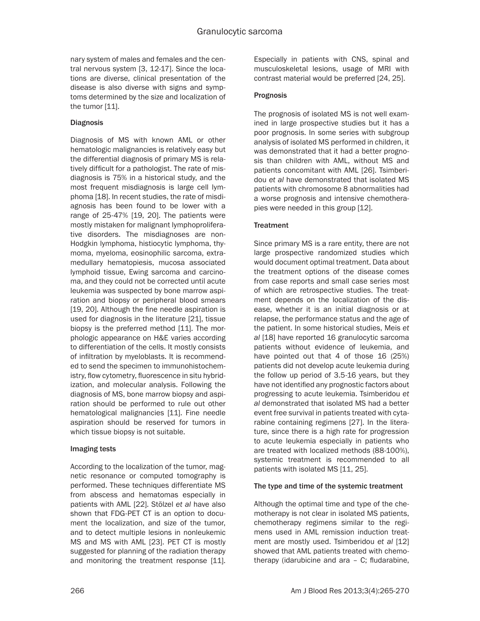nary system of males and females and the central nervous system [3, 12-17]. Since the locations are diverse, clinical presentation of the disease is also diverse with signs and symptoms determined by the size and localization of the tumor [11].

# **Diagnosis**

Diagnosis of MS with known AML or other hematologic malignancies is relatively easy but the differential diagnosis of primary MS is relatively difficult for a pathologist. The rate of misdiagnosis is 75% in a historical study, and the most frequent misdiagnosis is large cell lymphoma [18]. In recent studies, the rate of misdiagnosis has been found to be lower with a range of 25-47% [19, 20]. The patients were mostly mistaken for malignant lymphoproliferative disorders. The misdiagnoses are non-Hodgkin lymphoma, histiocytic lymphoma, thymoma, myeloma, eosinophilic sarcoma, extramedullary hematopiesis, mucosa associated lymphoid tissue, Ewing sarcoma and carcinoma, and they could not be corrected until acute leukemia was suspected by bone marrow aspiration and biopsy or peripheral blood smears [19, 20]. Although the fine needle aspiration is used for diagnosis in the literature [21], tissue biopsy is the preferred method [11]. The morphologic appearance on H&E varies according to differentiation of the cells. It mostly consists of infiltration by myeloblasts. It is recommended to send the specimen to immunohistochemistry, flow cytometry, fluorescence in situ hybridization, and molecular analysis. Following the diagnosis of MS, bone marrow biopsy and aspiration should be performed to rule out other hematological malignancies [11]. Fine needle aspiration should be reserved for tumors in which tissue biopsy is not suitable.

# Imaging tests

According to the localization of the tumor, magnetic resonance or computed tomography is performed. These techniques differentiate MS from abscess and hematomas especially in patients with AML [22]. Stölzel *et al* have also shown that FDG-PET CT is an option to document the localization, and size of the tumor, and to detect multiple lesions in nonleukemic MS and MS with AML [23]. PET CT is mostly suggested for planning of the radiation therapy and monitoring the treatment response [11]. Especially in patients with CNS, spinal and musculoskeletal lesions, usage of MRI with contrast material would be preferred [24, 25].

# Prognosis

The prognosis of isolated MS is not well examined in large prospective studies but it has a poor prognosis. In some series with subgroup analysis of isolated MS performed in children, it was demonstrated that it had a better prognosis than children with AML, without MS and patients concomitant with AML [26]. Tsimberidou *et al* have demonstrated that isolated MS patients with chromosome 8 abnormalities had a worse prognosis and intensive chemotherapies were needed in this group [12].

# **Treatment**

Since primary MS is a rare entity, there are not large prospective randomized studies which would document optimal treatment. Data about the treatment options of the disease comes from case reports and small case series most of which are retrospective studies. The treatment depends on the localization of the disease, whether it is an initial diagnosis or at relapse, the performance status and the age of the patient. In some historical studies, Meis *et al* [18] have reported 16 granulocytic sarcoma patients without evidence of leukemia, and have pointed out that 4 of those 16 (25%) patients did not develop acute leukemia during the follow up period of 3.5-16 years, but they have not identified any prognostic factors about progressing to acute leukemia. Tsimberidou *et al* demonstrated that isolated MS had a better event free survival in patients treated with cytarabine containing regimens [27]. In the literature, since there is a high rate for progression to acute leukemia especially in patients who are treated with localized methods (88-100%), systemic treatment is recommended to all patients with isolated MS [11, 25].

# The type and time of the systemic treatment

Although the optimal time and type of the chemotherapy is not clear in isolated MS patients, chemotherapy regimens similar to the regimens used in AML remission induction treatment are mostly used. Tsimberidou *et al* [12] showed that AML patients treated with chemotherapy (idarubicine and ara – C; fludarabine,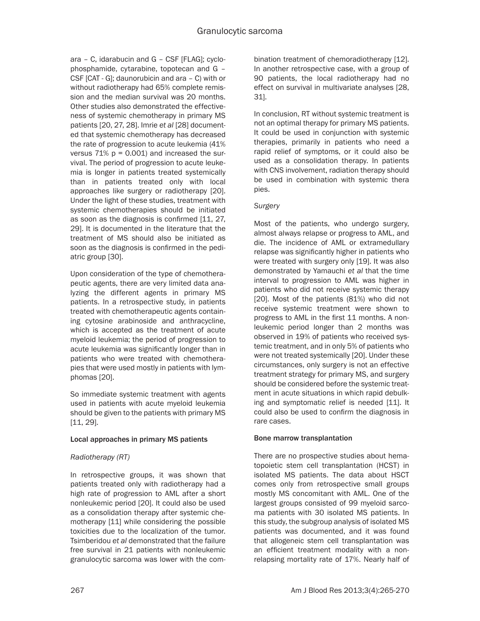ara – C, idarabucin and G – CSF [FLAG]; cyclophosphamide, cytarabine, topotecan and G – CSF [CAT - G]; daunorubicin and ara – C) with or without radiotherapy had 65% complete remission and the median survival was 20 months. Other studies also demonstrated the effectiveness of systemic chemotherapy in primary MS patients [20, 27, 28]. Imrie *et al* [28] documented that systemic chemotherapy has decreased the rate of progression to acute leukemia (41% versus  $71\%$   $p = 0.001$ ) and increased the survival. The period of progression to acute leukemia is longer in patients treated systemically than in patients treated only with local approaches like surgery or radiotherapy [20]. Under the light of these studies, treatment with systemic chemotherapies should be initiated as soon as the diagnosis is confirmed [11, 27, 29]. It is documented in the literature that the treatment of MS should also be initiated as soon as the diagnosis is confirmed in the pediatric group [30].

Upon consideration of the type of chemotherapeutic agents, there are very limited data analyzing the different agents in primary MS patients. In a retrospective study, in patients treated with chemotherapeutic agents containing cytosine arabinoside and anthracycline, which is accepted as the treatment of acute myeloid leukemia; the period of progression to acute leukemia was significantly longer than in patients who were treated with chemotherapies that were used mostly in patients with lymphomas [20].

So immediate systemic treatment with agents used in patients with acute myeloid leukemia should be given to the patients with primary MS [11, 29].

# Local approaches in primary MS patients

# *Radiotherapy (RT)*

In retrospective groups, it was shown that patients treated only with radiotherapy had a high rate of progression to AML after a short nonleukemic period [20]. It could also be used as a consolidation therapy after systemic chemotherapy [11] while considering the possible toxicities due to the localization of the tumor. Tsimberidou *et al* demonstrated that the failure free survival in 21 patients with nonleukemic granulocytic sarcoma was lower with the combination treatment of chemoradiotherapy [12]. In another retrospective case, with a group of 90 patients, the local radiotherapy had no effect on survival in multivariate analyses [28, 31].

In conclusion, RT without systemic treatment is not an optimal therapy for primary MS patients. It could be used in conjunction with systemic therapies, primarily in patients who need a rapid relief of symptoms, or it could also be used as a consolidation therapy. In patients with CNS involvement, radiation therapy should be used in combination with systemic thera pies.

## *Surgery*

Most of the patients, who undergo surgery, almost always relapse or progress to AML, and die. The incidence of AML or extramedullary relapse was significantly higher in patients who were treated with surgery only [19]. It was also demonstrated by Yamauchi *et al* that the time interval to progression to AML was higher in patients who did not receive systemic therapy [20]. Most of the patients (81%) who did not receive systemic treatment were shown to progress to AML in the first 11 months. A nonleukemic period longer than 2 months was observed in 19% of patients who received systemic treatment, and in only 5% of patients who were not treated systemically [20]. Under these circumstances, only surgery is not an effective treatment strategy for primary MS, and surgery should be considered before the systemic treatment in acute situations in which rapid debulking and symptomatic relief is needed [11]. It could also be used to confirm the diagnosis in rare cases.

## Bone marrow transplantation

There are no prospective studies about hematopoietic stem cell transplantation (HCST) in isolated MS patients. The data about HSCT comes only from retrospective small groups mostly MS concomitant with AML. One of the largest groups consisted of 99 myeloid sarcoma patients with 30 isolated MS patients. In this study, the subgroup analysis of isolated MS patients was documented, and it was found that allogeneic stem cell transplantation was an efficient treatment modality with a nonrelapsing mortality rate of 17%. Nearly half of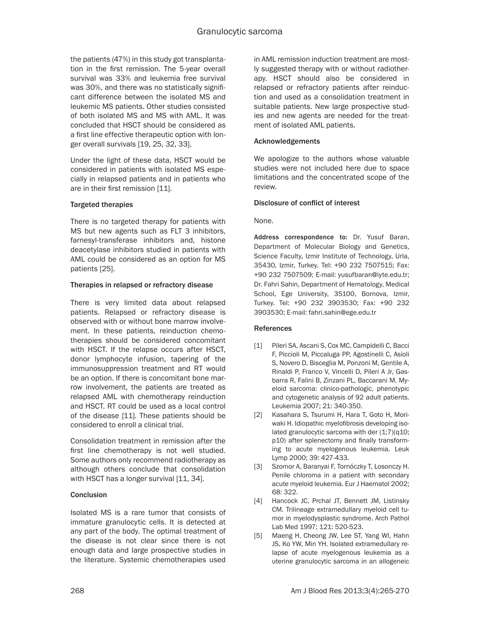the patients (47%) in this study got transplantation in the first remission. The 5-year overall survival was 33% and leukemia free survival was 30%, and there was no statistically significant difference between the isolated MS and leukemic MS patients. Other studies consisted of both isolated MS and MS with AML. It was concluded that HSCT should be considered as a first line effective therapeutic option with longer overall survivals [19, 25, 32, 33].

Under the light of these data, HSCT would be considered in patients with isolated MS especially in relapsed patients and in patients who are in their first remission [11].

## Targeted therapies

There is no targeted therapy for patients with MS but new agents such as FLT 3 inhibitors, farnesyl-transferase inhibitors and, histone deacetylase inhibitors studied in patients with AML could be considered as an option for MS patients [25].

## Therapies in relapsed or refractory disease

There is very limited data about relapsed patients. Relapsed or refractory disease is observed with or without bone marrow involvement. In these patients, reinduction chemotherapies should be considered concomitant with HSCT. If the relapse occurs after HSCT, donor lymphocyte infusion, tapering of the immunosuppression treatment and RT would be an option. If there is concomitant bone marrow involvement, the patients are treated as relapsed AML with chemotherapy reinduction and HSCT. RT could be used as a local control of the disease [11]. These patients should be considered to enroll a clinical trial.

Consolidation treatment in remission after the first line chemotherapy is not well studied. Some authors only recommend radiotherapy as although others conclude that consolidation with HSCT has a longer survival [11, 34].

## **Conclusion**

Isolated MS is a rare tumor that consists of immature granulocytic cells. It is detected at any part of the body. The optimal treatment of the disease is not clear since there is not enough data and large prospective studies in the literature. Systemic chemotherapies used

in AML remission induction treatment are mostly suggested therapy with or without radiotherapy. HSCT should also be considered in relapsed or refractory patients after reinduction and used as a consolidation treatment in suitable patients. New large prospective studies and new agents are needed for the treatment of isolated AML patients.

#### Acknowledgements

We apologize to the authors whose valuable studies were not included here due to space limitations and the concentrated scope of the review.

## Disclosure of conflict of interest

None.

Address correspondence to: Dr. Yusuf Baran, Department of Molecular Biology and Genetics, Science Faculty, Izmir Institute of Technology, Urla, 35430, Izmir, Turkey. Tel: +90 232 7507515; Fax: +90 232 7507509; E-mail: [yusufbaran@iyte.edu.tr](mailto:yusufbaran@iyte.edu.tr); Dr. Fahri Sahin, Department of Hematology, Medical School, Ege University, 35100, Bornova, Izmir, Turkey. Tel: +90 232 3903530; Fax: +90 232 3903530; E-mail: [fahri.sahin@ege.edu.tr](mailto:fahri.sahin@ege.edu.tr)

## References

- [1] Pileri SA, Ascani S, Cox MC, Campidelli C, Bacci F, Piccioli M, Piccaluga PP, Agostinelli C, Asioli S, Novero D, Bisceglia M, Ponzoni M, Gentile A, Rinaldi P, Franco V, Vincelli D, Pileri A Jr, Gasbarra R, Falini B, Zinzani PL, Baccarani M. Myeloid sarcoma: clinico-pathologic, phenotypic and cytogenetic analysis of 92 adult patients. Leukemia 2007; 21: 340-350.
- [2] Kasahara S, Tsurumi H, Hara T, Goto H, Moriwaki H. Idiopathic myelofibrosis developing isolated granulocytic sarcoma with der  $(1,7)(q10;$ p10) after splenectomy and finally transforming to acute myelogenous leukemia. Leuk Lymp 2000; 39: 427-433.
- [3] Szomor A, Baranyai F, Tornóczky T, Losonczy H. Penile chloroma in a patient with secondary acute myeloid leukemia. Eur J Haematol 2002; 68: 322.
- [4] Hancock JC, Prchal JT, Bennett JM, Listinsky CM. Trilineage extramedullary myeloid cell tumor in myelodysplastic syndrome. Arch Pathol Lab Med 1997; 121: 520-523.
- [5] Maeng H, Cheong JW, Lee ST, Yang WI, Hahn JS, Ko YW, Min YH. Isolated extramedullary relapse of acute myelogenous leukemia as a uterine granulocytic sarcoma in an allogeneic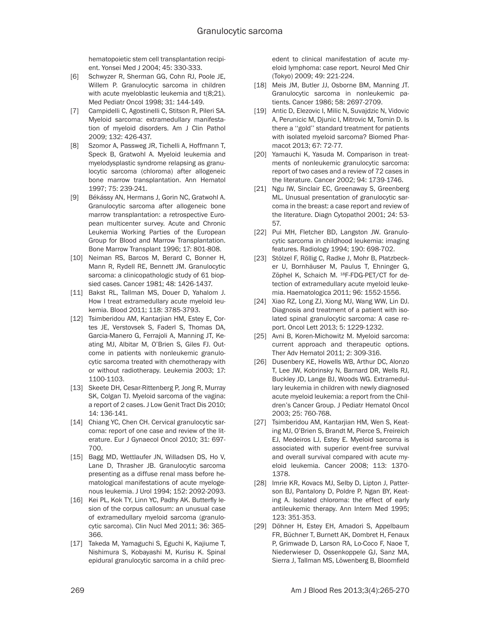hematopoietic stem cell transplantation recipient. Yonsei Med J 2004; 45: 330-333.

- [6] Schwyzer R, Sherman GG, Cohn RJ, Poole JE, Willem P. Granulocytic sarcoma in children with acute myeloblastic leukemia and t(8;21). Med Pediatr Oncol 1998; 31: 144-149.
- [7] Campidelli C, Agostinelli C, Stitson R, Pileri SA. Myeloid sarcoma: extramedullary manifestation of myeloid disorders. Am J Clin Pathol 2009; 132: 426-437.
- [8] Szomor A, Passweg JR, Tichelli A, Hoffmann T, Speck B, Gratwohl A. Myeloid leukemia and myelodysplastic syndrome relapsing as granulocytic sarcoma (chloroma) after allogeneic bone marrow transplantation. Ann Hematol 1997; 75: 239-241.
- [9] Békássy AN, Hermans J, Gorin NC, Gratwohl A. Granulocytic sarcoma after allogeneic bone marrow transplantation: a retrospective European multicenter survey. Acute and Chronic Leukemia Working Parties of the European Group for Blood and Marrow Transplantation. Bone Marrow Transplant 1996; 17: 801-808.
- [10] Neiman RS, Barcos M, Berard C, Bonner H, Mann R, Rydell RE, Bennett JM. Granulocytic sarcoma: a clinicopathologic study of 61 biopsied cases. Cancer 1981; 48: 1426-1437.
- [11] Bakst RL, Tallman MS, Douer D, Yahalom J. How I treat extramedullary acute myeloid leukemia. Blood 2011; 118: 3785-3793.
- [12] Tsimberidou AM, Kantarjian HM, Estey E, Cortes JE, Verstovsek S, Faderl S, Thomas DA, Garcia-Manero G, Ferrajoli A, Manning JT, Keating MJ, Albitar M, O'Brien S, Giles FJ. Outcome in patients with nonleukemic granulocytic sarcoma treated with chemotherapy with or without radiotherapy. Leukemia 2003; 17: 1100-1103.
- [13] Skeete DH, Cesar-Rittenberg P, Jong R, Murray SK, Colgan TJ. Myeloid sarcoma of the vagina: a report of 2 cases. J Low Genit Tract Dis 2010; 14: 136-141.
- [14] Chiang YC, Chen CH. Cervical granulocytic sarcoma: report of one case and review of the literature. Eur J Gynaecol Oncol 2010; 31: 697- 700.
- [15] Bagg MD, Wettlaufer JN, Willadsen DS, Ho V, Lane D, Thrasher JB. Granulocytic sarcoma presenting as a diffuse renal mass before hematological manifestations of acute myelogenous leukemia. J Urol 1994; 152: 2092-2093.
- [16] Kei PL, Kok TY, Linn YC, Padhy AK. Butterfly lesion of the corpus callosum: an unusual case of extramedullary myeloid sarcoma (granulocytic sarcoma). Clin Nucl Med 2011; 36: 365- 366.
- [17] Takeda M, Yamaguchi S, Eguchi K, Kajiume T, Nishimura S, Kobayashi M, Kurisu K. Spinal epidural granulocytic sarcoma in a child prec-

edent to clinical manifestation of acute myeloid lymphoma: case report. Neurol Med Chir (Tokyo) 2009; 49: 221-224.

- [18] Meis JM, Butler JJ, Osborne BM, Manning JT. Granulocytic sarcoma in nonleukemic patients. Cancer 1986; 58: 2697-2709.
- [19] Antic D, Elezovic I, Milic N, Suvajdzic N, Vidovic A, Perunicic M, Djunic I, Mitrovic M, Tomin D. Is there a ''gold'' standard treatment for patients with isolated myeloid sarcoma? Biomed Pharmacot 2013; 67: 72-77.
- [20] Yamauchi K, Yasuda M. Comparison in treatments of nonleukemic granulocytic sarcoma: report of two cases and a review of 72 cases in the literature. Cancer 2002; 94: 1739-1746.
- [21] Ngu IW, Sinclair EC, Greenaway S, Greenberg ML. Unusual presentation of granulocytic sarcoma in the breast: a case report and review of the literature. Diagn Cytopathol 2001; 24: 53- 57.
- [22] Pui MH, Fletcher BD, Langston JW. Granulocytic sarcoma in childhood leukemia: imaging features. Radiology 1994; 190: 698-702.
- [23] Stölzel F, Röllig C, Radke J, Mohr B, Platzbecker U, Bornhäuser M, Paulus T, Ehninger G, Zöphel K, Schaich M. 18F-FDG-PET/CT for detection of extramedullary acute myeloid leukemia. Haematologica 2011; 96: 1552-1556.
- [24] Xiao RZ, Long ZJ, Xiong MJ, Wang WW, Lin DJ. Diagnosis and treatment of a patient with isolated spinal granulocytic sarcoma: A case report. Oncol Lett 2013; 5: 1229-1232.
- [25] Avni B, Koren-Michowitz M. Myeloid sarcoma: current approach and therapeutic options. Ther Adv Hematol 2011; 2: 309-316.
- [26] Dusenbery KE, Howells WB, Arthur DC, Alonzo T, Lee JW, Kobrinsky N, Barnard DR, Wells RJ, Buckley JD, Lange BJ, Woods WG. Extramedullary leukemia in children with newly diagnosed acute myeloid leukemia: a report from the Children's Cancer Group. J Pediatr Hematol Oncol 2003; 25: 760-768.
- [27] Tsimberidou AM, Kantarjian HM, Wen S, Keating MJ, O'Brien S, Brandt M, Pierce S, Freireich EJ, Medeiros LJ, Estey E. Myeloid sarcoma is associated with superior event-free survival and overall survival compared with acute myeloid leukemia. Cancer 2008; 113: 1370- 1378.
- [28] Imrie KR, Kovacs MJ, Selby D, Lipton J, Patterson BJ, Pantalony D, Poldre P, Ngan BY, Keating A. Isolated chloroma: the effect of early antileukemic therapy. Ann Intern Med 1995; 123: 351-353.
- [29] Döhner H, Estey EH, Amadori S, Appelbaum FR, Büchner T, Burnett AK, Dombret H, Fenaux P, Grimwade D, Larson RA, Lo-Coco F, Naoe T, Niederwieser D, Ossenkoppele GJ, Sanz MA, Sierra J, Tallman MS, Löwenberg B, Bloomfield